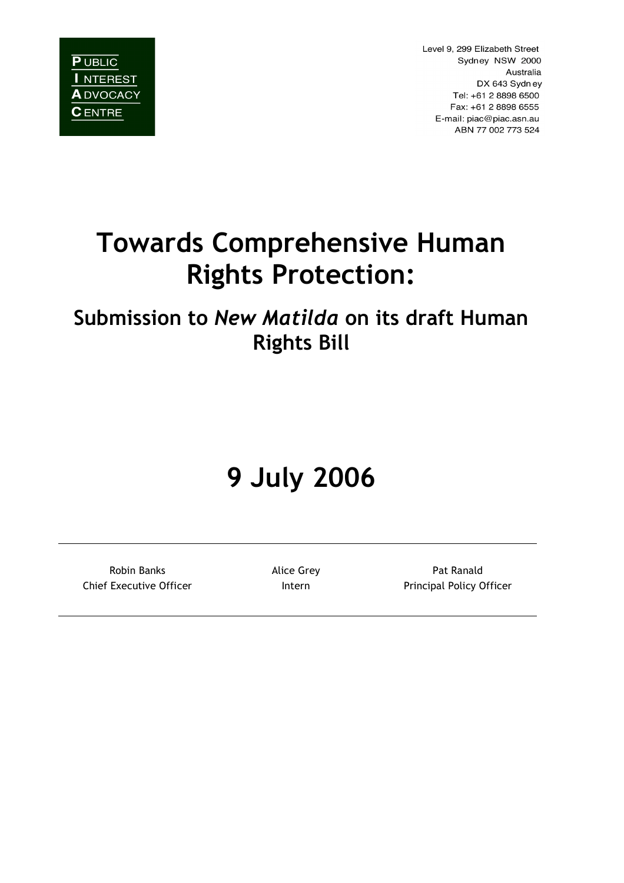**PUBLIC** I NTEREST **A** DVOCACY **C** ENTRE

Level 9, 299 Elizabeth Street Sydney NSW 2000 Australia DX 643 Sydney Tel: +61 2 8898 6500 Fax: +61 2 8898 6555 E-mail: piac@piac.asn.au ABN 77 002 773 524

# **Towards Comprehensive Human Rights Protection:**

## **Submission to** *New Matilda* **on its draft Human Rights Bill**

# **9 July 2006**

Robin Banks **Alice Grey** Pat Ranald Chief Executive Officer **Intern** Principal Policy Officer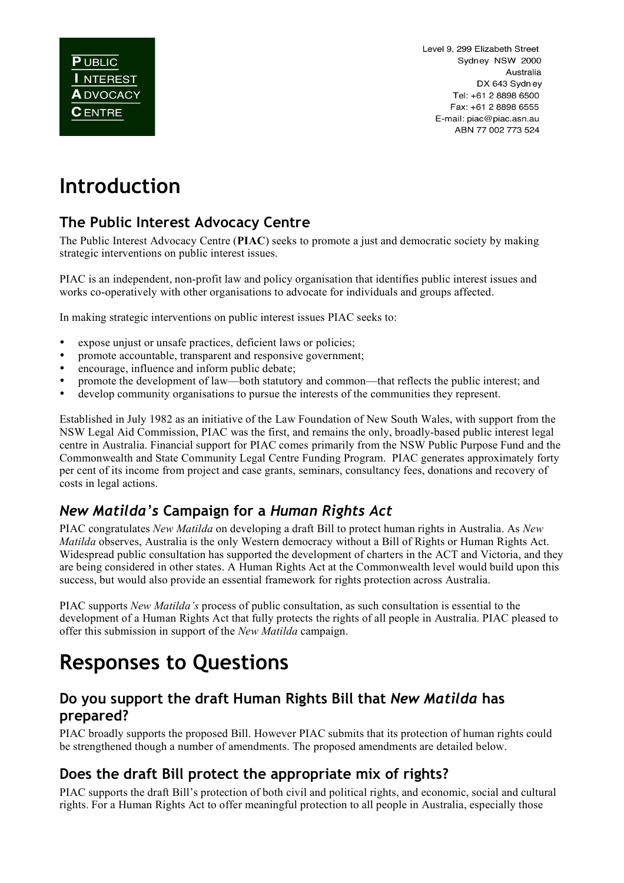Level 9, 299 Elizabeth Street Sydney NSW 2000 Australia DX 643 Sydney Tel: +61 2 8898 6500 Fax: +61 2 8898 6555 E-mail: piac@piac.asn.au ABN 77 002 773 524

## **Introduction**

## **The Public Interest Advocacy Centre**

The Public Interest Advocacy Centre (**PIAC**) seeks to promote a just and democratic society by making strategic interventions on public interest issues.

PIAC is an independent, non-profit law and policy organisation that identifies public interest issues and works co-operatively with other organisations to advocate for individuals and groups affected.

In making strategic interventions on public interest issues PIAC seeks to:

- expose unjust or unsafe practices, deficient laws or policies;
- promote accountable, transparent and responsive government;
- encourage, influence and inform public debate;
- promote the development of law—both statutory and common—that reflects the public interest; and
- develop community organisations to pursue the interests of the communities they represent.

Established in July 1982 as an initiative of the Law Foundation of New South Wales, with support from the NSW Legal Aid Commission, PIAC was the first, and remains the only, broadly-based public interest legal centre in Australia. Financial support for PIAC comes primarily from the NSW Public Purpose Fund and the Commonwealth and State Community Legal Centre Funding Program. PIAC generates approximately forty per cent of its income from project and case grants, seminars, consultancy fees, donations and recovery of costs in legal actions.

## *New Matilda's* **Campaign for a** *Human Rights Act*

PIAC congratulates *New Matilda* on developing a draft Bill to protect human rights in Australia. As *New Matilda* observes, Australia is the only Western democracy without a Bill of Rights or Human Rights Act. Widespread public consultation has supported the development of charters in the ACT and Victoria, and they are being considered in other states. A Human Rights Act at the Commonwealth level would build upon this success, but would also provide an essential framework for rights protection across Australia.

PIAC supports *New Matilda's* process of public consultation, as such consultation is essential to the development of a Human Rights Act that fully protects the rights of all people in Australia. PIAC pleased to offer this submission in support of the *New Matilda* campaign.

## **Responses to Questions**

#### **Do you support the draft Human Rights Bill that** *New Matilda* **has prepared?**

PIAC broadly supports the proposed Bill. However PIAC submits that its protection of human rights could be strengthened though a number of amendments. The proposed amendments are detailed below.

#### **Does the draft Bill protect the appropriate mix of rights?**

PIAC supports the draft Bill's protection of both civil and political rights, and economic, social and cultural rights. For a Human Rights Act to offer meaningful protection to all people in Australia, especially those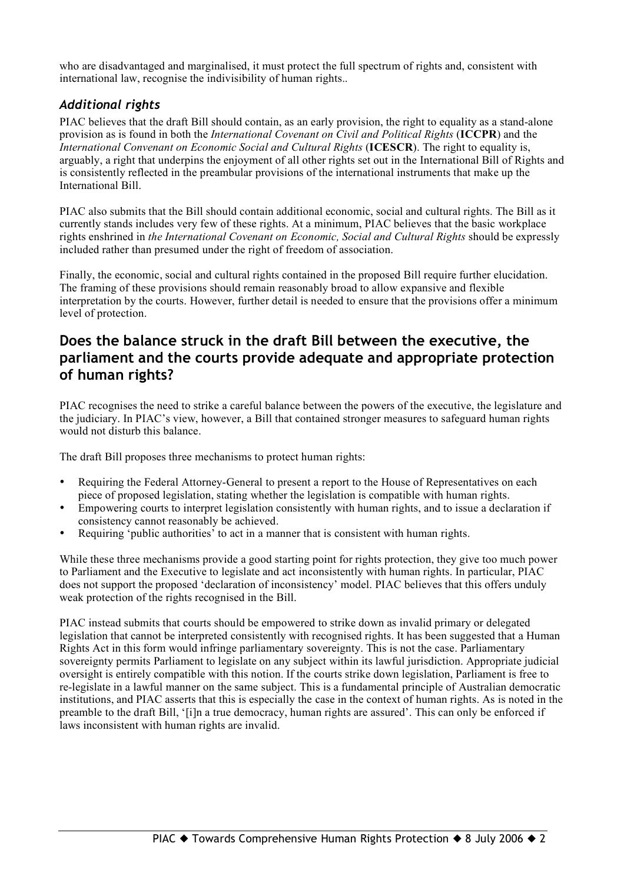who are disadvantaged and marginalised, it must protect the full spectrum of rights and, consistent with international law, recognise the indivisibility of human rights..

#### *Additional rights*

PIAC believes that the draft Bill should contain, as an early provision, the right to equality as a stand-alone provision as is found in both the *International Covenant on Civil and Political Rights* (**ICCPR**) and the *International Convenant on Economic Social and Cultural Rights* (**ICESCR**). The right to equality is, arguably, a right that underpins the enjoyment of all other rights set out in the International Bill of Rights and is consistently reflected in the preambular provisions of the international instruments that make up the International Bill.

PIAC also submits that the Bill should contain additional economic, social and cultural rights. The Bill as it currently stands includes very few of these rights. At a minimum, PIAC believes that the basic workplace rights enshrined in *the International Covenant on Economic, Social and Cultural Rights* should be expressly included rather than presumed under the right of freedom of association.

Finally, the economic, social and cultural rights contained in the proposed Bill require further elucidation. The framing of these provisions should remain reasonably broad to allow expansive and flexible interpretation by the courts. However, further detail is needed to ensure that the provisions offer a minimum level of protection.

#### **Does the balance struck in the draft Bill between the executive, the parliament and the courts provide adequate and appropriate protection of human rights?**

PIAC recognises the need to strike a careful balance between the powers of the executive, the legislature and the judiciary. In PIAC's view, however, a Bill that contained stronger measures to safeguard human rights would not disturb this balance.

The draft Bill proposes three mechanisms to protect human rights:

- Requiring the Federal Attorney-General to present a report to the House of Representatives on each piece of proposed legislation, stating whether the legislation is compatible with human rights.
- Empowering courts to interpret legislation consistently with human rights, and to issue a declaration if consistency cannot reasonably be achieved.
- Requiring 'public authorities' to act in a manner that is consistent with human rights.

While these three mechanisms provide a good starting point for rights protection, they give too much power to Parliament and the Executive to legislate and act inconsistently with human rights. In particular, PIAC does not support the proposed 'declaration of inconsistency' model. PIAC believes that this offers unduly weak protection of the rights recognised in the Bill.

PIAC instead submits that courts should be empowered to strike down as invalid primary or delegated legislation that cannot be interpreted consistently with recognised rights. It has been suggested that a Human Rights Act in this form would infringe parliamentary sovereignty. This is not the case. Parliamentary sovereignty permits Parliament to legislate on any subject within its lawful jurisdiction. Appropriate judicial oversight is entirely compatible with this notion. If the courts strike down legislation, Parliament is free to re-legislate in a lawful manner on the same subject. This is a fundamental principle of Australian democratic institutions, and PIAC asserts that this is especially the case in the context of human rights. As is noted in the preamble to the draft Bill, '[i]n a true democracy, human rights are assured'. This can only be enforced if laws inconsistent with human rights are invalid.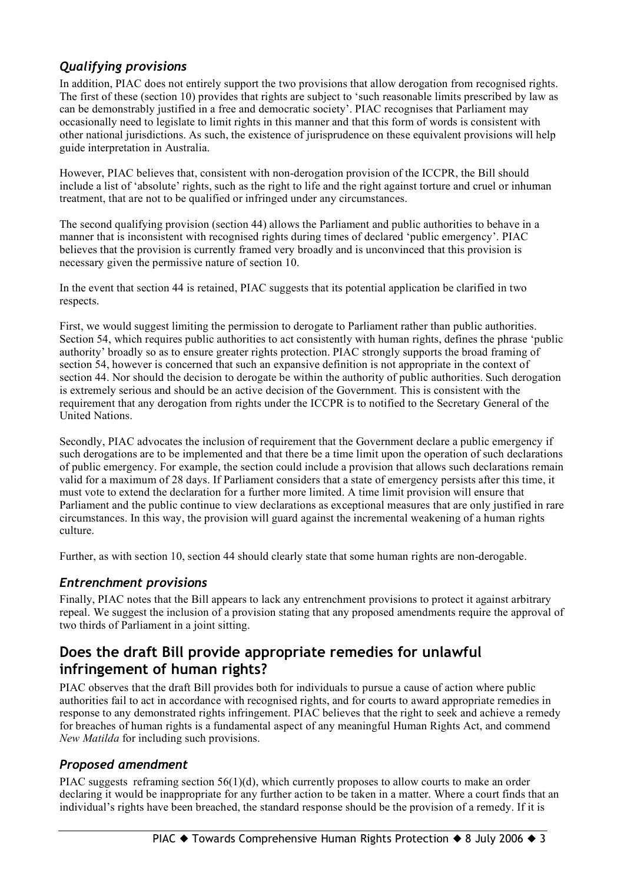#### *Qualifying provisions*

In addition, PIAC does not entirely support the two provisions that allow derogation from recognised rights. The first of these (section 10) provides that rights are subject to 'such reasonable limits prescribed by law as can be demonstrably justified in a free and democratic society'. PIAC recognises that Parliament may occasionally need to legislate to limit rights in this manner and that this form of words is consistent with other national jurisdictions. As such, the existence of jurisprudence on these equivalent provisions will help guide interpretation in Australia.

However, PIAC believes that, consistent with non-derogation provision of the ICCPR, the Bill should include a list of 'absolute' rights, such as the right to life and the right against torture and cruel or inhuman treatment, that are not to be qualified or infringed under any circumstances.

The second qualifying provision (section 44) allows the Parliament and public authorities to behave in a manner that is inconsistent with recognised rights during times of declared 'public emergency'. PIAC believes that the provision is currently framed very broadly and is unconvinced that this provision is necessary given the permissive nature of section 10.

In the event that section 44 is retained, PIAC suggests that its potential application be clarified in two respects.

First, we would suggest limiting the permission to derogate to Parliament rather than public authorities. Section 54, which requires public authorities to act consistently with human rights, defines the phrase 'public authority' broadly so as to ensure greater rights protection. PIAC strongly supports the broad framing of section 54, however is concerned that such an expansive definition is not appropriate in the context of section 44. Nor should the decision to derogate be within the authority of public authorities. Such derogation is extremely serious and should be an active decision of the Government. This is consistent with the requirement that any derogation from rights under the ICCPR is to notified to the Secretary General of the United Nations.

Secondly, PIAC advocates the inclusion of requirement that the Government declare a public emergency if such derogations are to be implemented and that there be a time limit upon the operation of such declarations of public emergency. For example, the section could include a provision that allows such declarations remain valid for a maximum of 28 days. If Parliament considers that a state of emergency persists after this time, it must vote to extend the declaration for a further more limited. A time limit provision will ensure that Parliament and the public continue to view declarations as exceptional measures that are only justified in rare circumstances. In this way, the provision will guard against the incremental weakening of a human rights culture.

Further, as with section 10, section 44 should clearly state that some human rights are non-derogable.

#### *Entrenchment provisions*

Finally, PIAC notes that the Bill appears to lack any entrenchment provisions to protect it against arbitrary repeal. We suggest the inclusion of a provision stating that any proposed amendments require the approval of two thirds of Parliament in a joint sitting.

### **Does the draft Bill provide appropriate remedies for unlawful infringement of human rights?**

PIAC observes that the draft Bill provides both for individuals to pursue a cause of action where public authorities fail to act in accordance with recognised rights, and for courts to award appropriate remedies in response to any demonstrated rights infringement. PIAC believes that the right to seek and achieve a remedy for breaches of human rights is a fundamental aspect of any meaningful Human Rights Act, and commend *New Matilda* for including such provisions.

#### *Proposed amendment*

PIAC suggests reframing section 56(1)(d), which currently proposes to allow courts to make an order declaring it would be inappropriate for any further action to be taken in a matter. Where a court finds that an individual's rights have been breached, the standard response should be the provision of a remedy. If it is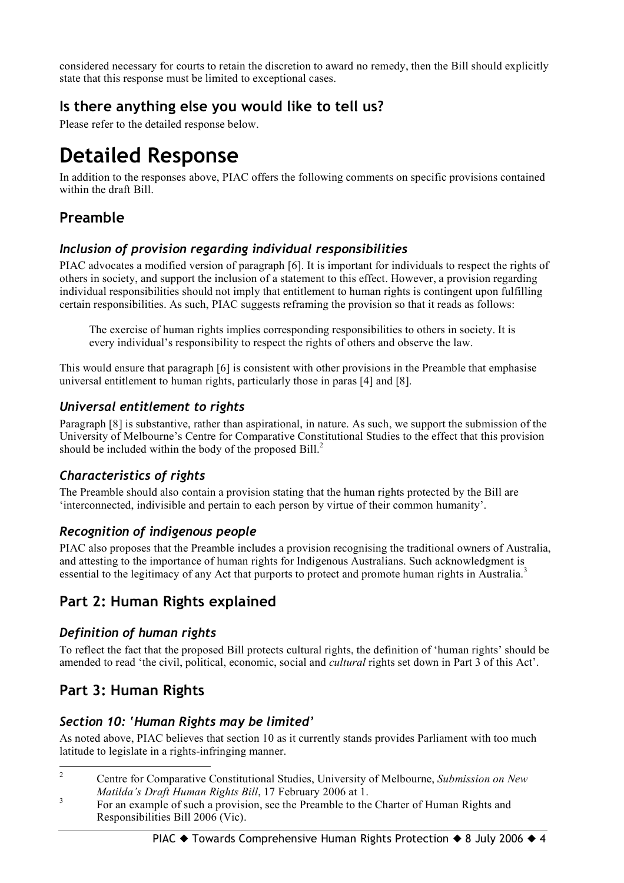considered necessary for courts to retain the discretion to award no remedy, then the Bill should explicitly state that this response must be limited to exceptional cases.

## **Is there anything else you would like to tell us?**

Please refer to the detailed response below.

## **Detailed Response**

In addition to the responses above, PIAC offers the following comments on specific provisions contained within the draft Bill.

## **Preamble**

#### *Inclusion of provision regarding individual responsibilities*

PIAC advocates a modified version of paragraph [6]. It is important for individuals to respect the rights of others in society, and support the inclusion of a statement to this effect. However, a provision regarding individual responsibilities should not imply that entitlement to human rights is contingent upon fulfilling certain responsibilities. As such, PIAC suggests reframing the provision so that it reads as follows:

The exercise of human rights implies corresponding responsibilities to others in society. It is every individual's responsibility to respect the rights of others and observe the law.

This would ensure that paragraph [6] is consistent with other provisions in the Preamble that emphasise universal entitlement to human rights, particularly those in paras [4] and [8].

#### *Universal entitlement to rights*

Paragraph [8] is substantive, rather than aspirational, in nature. As such, we support the submission of the University of Melbourne's Centre for Comparative Constitutional Studies to the effect that this provision should be included within the body of the proposed Bill.<sup>2</sup>

#### *Characteristics of rights*

The Preamble should also contain a provision stating that the human rights protected by the Bill are 'interconnected, indivisible and pertain to each person by virtue of their common humanity'.

#### *Recognition of indigenous people*

PIAC also proposes that the Preamble includes a provision recognising the traditional owners of Australia, and attesting to the importance of human rights for Indigenous Australians. Such acknowledgment is essential to the legitimacy of any Act that purports to protect and promote human rights in Australia.<sup>3</sup>

## **Part 2: Human Rights explained**

#### *Definition of human rights*

To reflect the fact that the proposed Bill protects cultural rights, the definition of 'human rights' should be amended to read 'the civil, political, economic, social and *cultural* rights set down in Part 3 of this Act'.

## **Part 3: Human Rights**

#### *Section 10: 'Human Rights may be limited'*

As noted above, PIAC believes that section 10 as it currently stands provides Parliament with too much latitude to legislate in a rights-infringing manner.

- 2 Centre for Comparative Constitutional Studies, University of Melbourne, *Submission on New*
- *Matilda's Draft Human Rights Bill*, 17 February 2006 at 1.<br><sup>3</sup> For an example of such a provision, see the Preamble to the Charter of Human Rights and Responsibilities Bill 2006 (Vic).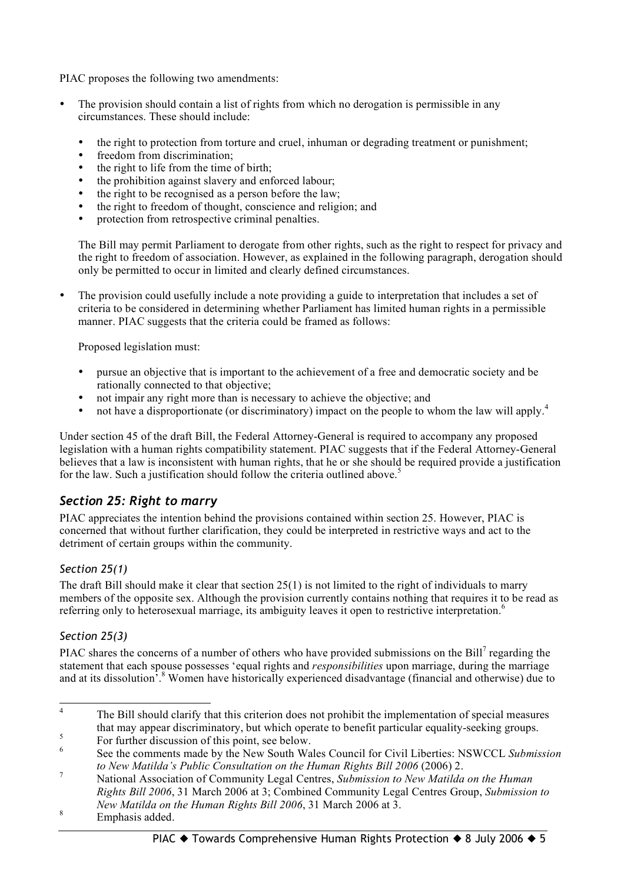PIAC proposes the following two amendments:

- The provision should contain a list of rights from which no derogation is permissible in any circumstances. These should include:
	- the right to protection from torture and cruel, inhuman or degrading treatment or punishment;
	- freedom from discrimination;<br>• the right to life from the time
	- the right to life from the time of birth;<br>• the prohibition against slavery and enf
	- the prohibition against slavery and enforced labour;
	- the right to be recognised as a person before the law;
	- the right to freedom of thought, conscience and religion; and
	- protection from retrospective criminal penalties.

The Bill may permit Parliament to derogate from other rights, such as the right to respect for privacy and the right to freedom of association. However, as explained in the following paragraph, derogation should only be permitted to occur in limited and clearly defined circumstances.

• The provision could usefully include a note providing a guide to interpretation that includes a set of criteria to be considered in determining whether Parliament has limited human rights in a permissible manner. PIAC suggests that the criteria could be framed as follows:

Proposed legislation must:

- pursue an objective that is important to the achievement of a free and democratic society and be rationally connected to that objective;
- not impair any right more than is necessary to achieve the objective; and
- not have a disproportionate (or discriminatory) impact on the people to whom the law will apply.<sup>4</sup>

Under section 45 of the draft Bill, the Federal Attorney-General is required to accompany any proposed legislation with a human rights compatibility statement. PIAC suggests that if the Federal Attorney-General believes that a law is inconsistent with human rights, that he or she should be required provide a justification for the law. Such a justification should follow the criteria outlined above.<sup>5</sup>

#### *Section 25: Right to marry*

PIAC appreciates the intention behind the provisions contained within section 25. However, PIAC is concerned that without further clarification, they could be interpreted in restrictive ways and act to the detriment of certain groups within the community.

#### *Section 25(1)*

The draft Bill should make it clear that section 25(1) is not limited to the right of individuals to marry members of the opposite sex. Although the provision currently contains nothing that requires it to be read as referring only to heterosexual marriage, its ambiguity leaves it open to restrictive interpretation.<sup>6</sup>

#### *Section 25(3)*

PIAC shares the concerns of a number of others who have provided submissions on the Bill<sup>7</sup> regarding the statement that each spouse possesses 'equal rights and *responsibilities* upon marriage, during the marriage and at its dissolution<sup>5</sup>.<sup>8</sup> Women have historically experienced disadvantage (financial and otherwise) due to

<sup>&</sup>lt;sup>4</sup> The Bill should clarify that this criterion does not prohibit the implementation of special measures that may appear discriminatory, but which operate to benefit particular equality-seeking groups.<br>
For further discussion of this point, see below.<br>
See the comments made by the New South Wales Council for Civil Liberties:

to New Matilda's Public Consultation on the Human Rights Bill 2006 (2006) 2.<br>National Association of Community Legal Centres, Submission to New Matilda on the Human *Rights Bill 2006*, 31 March 2006 at 3; Combined Community Legal Centres Group, *Submission to New Matilda on the Human Rights Bill <sup>2006</sup>*, <sup>31</sup> March <sup>2006</sup> at 3. <sup>8</sup> Emphasis added.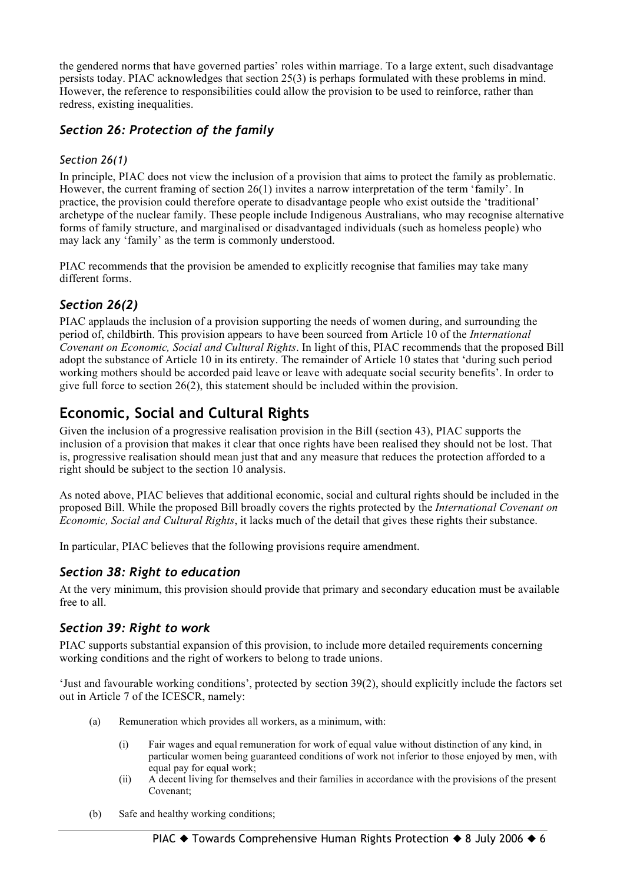the gendered norms that have governed parties' roles within marriage. To a large extent, such disadvantage persists today. PIAC acknowledges that section 25(3) is perhaps formulated with these problems in mind. However, the reference to responsibilities could allow the provision to be used to reinforce, rather than redress, existing inequalities.

#### *Section 26: Protection of the family*

#### *Section 26(1)*

In principle, PIAC does not view the inclusion of a provision that aims to protect the family as problematic. However, the current framing of section 26(1) invites a narrow interpretation of the term 'family'. In practice, the provision could therefore operate to disadvantage people who exist outside the 'traditional' archetype of the nuclear family. These people include Indigenous Australians, who may recognise alternative forms of family structure, and marginalised or disadvantaged individuals (such as homeless people) who may lack any 'family' as the term is commonly understood.

PIAC recommends that the provision be amended to explicitly recognise that families may take many different forms.

#### *Section 26(2)*

PIAC applauds the inclusion of a provision supporting the needs of women during, and surrounding the period of, childbirth. This provision appears to have been sourced from Article 10 of the *International Covenant on Economic, Social and Cultural Rights*. In light of this, PIAC recommends that the proposed Bill adopt the substance of Article 10 in its entirety. The remainder of Article 10 states that 'during such period working mothers should be accorded paid leave or leave with adequate social security benefits'. In order to give full force to section 26(2), this statement should be included within the provision.

## **Economic, Social and Cultural Rights**

Given the inclusion of a progressive realisation provision in the Bill (section 43), PIAC supports the inclusion of a provision that makes it clear that once rights have been realised they should not be lost. That is, progressive realisation should mean just that and any measure that reduces the protection afforded to a right should be subject to the section 10 analysis.

As noted above, PIAC believes that additional economic, social and cultural rights should be included in the proposed Bill. While the proposed Bill broadly covers the rights protected by the *International Covenant on Economic, Social and Cultural Rights*, it lacks much of the detail that gives these rights their substance.

In particular, PIAC believes that the following provisions require amendment.

#### *Section 38: Right to education*

At the very minimum, this provision should provide that primary and secondary education must be available free to all.

#### *Section 39: Right to work*

PIAC supports substantial expansion of this provision, to include more detailed requirements concerning working conditions and the right of workers to belong to trade unions.

'Just and favourable working conditions', protected by section 39(2), should explicitly include the factors set out in Article 7 of the ICESCR, namely:

- (a) Remuneration which provides all workers, as a minimum, with:
	- (i) Fair wages and equal remuneration for work of equal value without distinction of any kind, in particular women being guaranteed conditions of work not inferior to those enjoyed by men, with equal pay for equal work;
	- (ii) A decent living for themselves and their families in accordance with the provisions of the present Covenant;
- (b) Safe and healthy working conditions;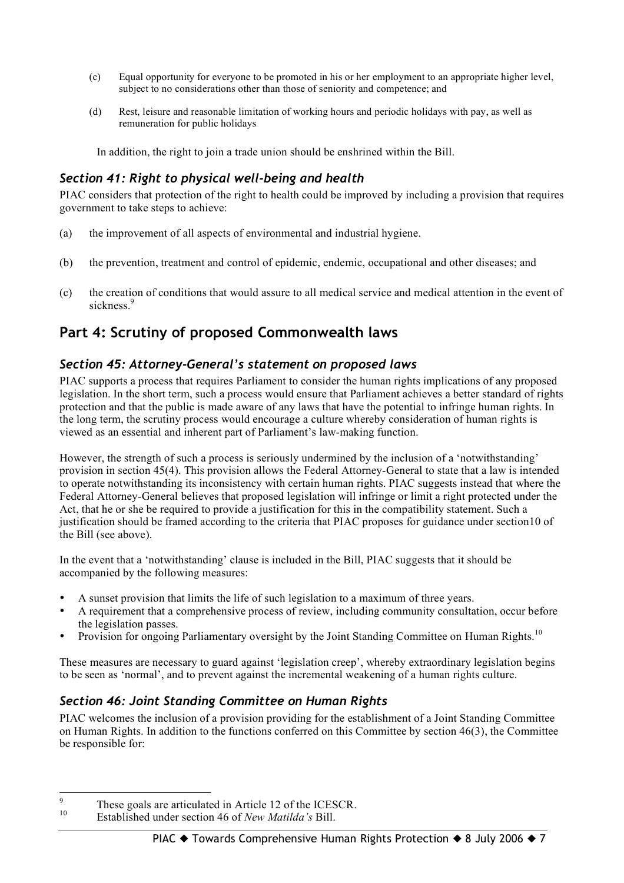- (c) Equal opportunity for everyone to be promoted in his or her employment to an appropriate higher level, subject to no considerations other than those of seniority and competence; and
- (d) Rest, leisure and reasonable limitation of working hours and periodic holidays with pay, as well as remuneration for public holidays

In addition, the right to join a trade union should be enshrined within the Bill.

#### *Section 41: Right to physical well-being and health*

PIAC considers that protection of the right to health could be improved by including a provision that requires government to take steps to achieve:

- (a) the improvement of all aspects of environmental and industrial hygiene.
- (b) the prevention, treatment and control of epidemic, endemic, occupational and other diseases; and
- (c) the creation of conditions that would assure to all medical service and medical attention in the event of sickness.<sup>9</sup>

### **Part 4: Scrutiny of proposed Commonwealth laws**

#### *Section 45: Attorney-General's statement on proposed laws*

PIAC supports a process that requires Parliament to consider the human rights implications of any proposed legislation. In the short term, such a process would ensure that Parliament achieves a better standard of rights protection and that the public is made aware of any laws that have the potential to infringe human rights. In the long term, the scrutiny process would encourage a culture whereby consideration of human rights is viewed as an essential and inherent part of Parliament's law-making function.

However, the strength of such a process is seriously undermined by the inclusion of a 'notwithstanding' provision in section 45(4). This provision allows the Federal Attorney-General to state that a law is intended to operate notwithstanding its inconsistency with certain human rights. PIAC suggests instead that where the Federal Attorney-General believes that proposed legislation will infringe or limit a right protected under the Act, that he or she be required to provide a justification for this in the compatibility statement. Such a justification should be framed according to the criteria that PIAC proposes for guidance under section10 of the Bill (see above).

In the event that a 'notwithstanding' clause is included in the Bill, PIAC suggests that it should be accompanied by the following measures:

- A sunset provision that limits the life of such legislation to a maximum of three years.
- A requirement that a comprehensive process of review, including community consultation, occur before the legislation passes.
- Provision for ongoing Parliamentary oversight by the Joint Standing Committee on Human Rights.<sup>10</sup>

These measures are necessary to guard against 'legislation creep', whereby extraordinary legislation begins to be seen as 'normal', and to prevent against the incremental weakening of a human rights culture.

#### *Section 46: Joint Standing Committee on Human Rights*

PIAC welcomes the inclusion of a provision providing for the establishment of a Joint Standing Committee on Human Rights. In addition to the functions conferred on this Committee by section 46(3), the Committee be responsible for:

<sup>&</sup>lt;sup>9</sup> These goals are articulated in Article 12 of the ICESCR.<br><sup>10</sup> Established under section 46 of *New Matilda's* Bill.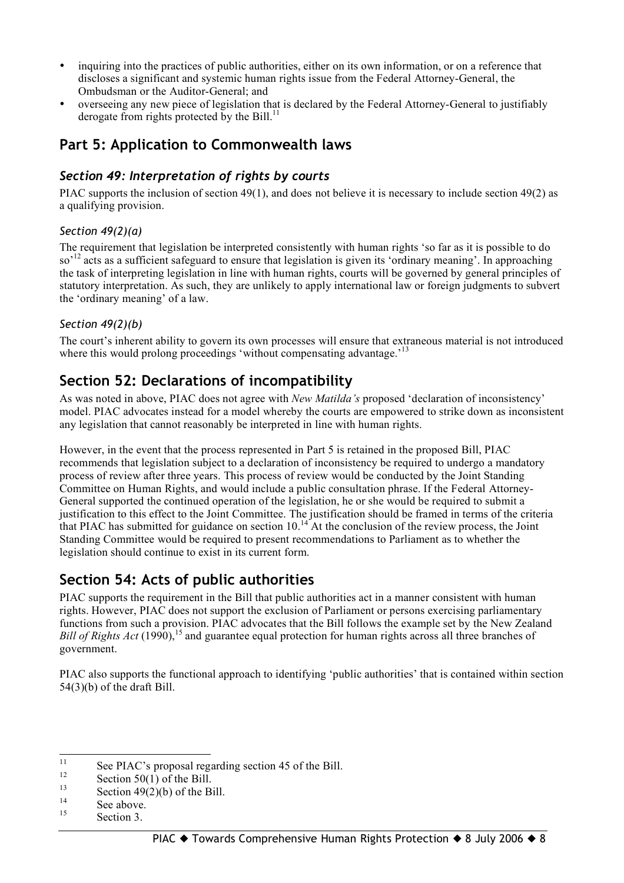- inquiring into the practices of public authorities, either on its own information, or on a reference that discloses a significant and systemic human rights issue from the Federal Attorney-General, the Ombudsman or the Auditor-General; and
- overseeing any new piece of legislation that is declared by the Federal Attorney-General to justifiably derogate from rights protected by the Bill.<sup>11</sup>

### **Part 5: Application to Commonwealth laws**

#### *Section 49: Interpretation of rights by courts*

PIAC supports the inclusion of section 49(1), and does not believe it is necessary to include section 49(2) as a qualifying provision.

#### *Section 49(2)(a)*

The requirement that legislation be interpreted consistently with human rights 'so far as it is possible to do so<sup>12</sup> acts as a sufficient safeguard to ensure that legislation is given its 'ordinary meaning'. In approaching the task of interpreting legislation in line with human rights, courts will be governed by general principles of statutory interpretation. As such, they are unlikely to apply international law or foreign judgments to subvert the 'ordinary meaning' of a law.

#### *Section 49(2)(b)*

The court's inherent ability to govern its own processes will ensure that extraneous material is not introduced where this would prolong proceedings 'without compensating advantage.'<sup>13</sup>

### **Section 52: Declarations of incompatibility**

As was noted in above, PIAC does not agree with *New Matilda's* proposed 'declaration of inconsistency' model. PIAC advocates instead for a model whereby the courts are empowered to strike down as inconsistent any legislation that cannot reasonably be interpreted in line with human rights.

However, in the event that the process represented in Part 5 is retained in the proposed Bill, PIAC recommends that legislation subject to a declaration of inconsistency be required to undergo a mandatory process of review after three years. This process of review would be conducted by the Joint Standing Committee on Human Rights, and would include a public consultation phrase. If the Federal Attorney-General supported the continued operation of the legislation, he or she would be required to submit a justification to this effect to the Joint Committee. The justification should be framed in terms of the criteria that PIAC has submitted for guidance on section  $10^{14}$ . At the conclusion of the review process, the Joint Standing Committee would be required to present recommendations to Parliament as to whether the legislation should continue to exist in its current form.

## **Section 54: Acts of public authorities**

PIAC supports the requirement in the Bill that public authorities act in a manner consistent with human rights. However, PIAC does not support the exclusion of Parliament or persons exercising parliamentary functions from such a provision. PIAC advocates that the Bill follows the example set by the New Zealand *Bill of Rights Act* (1990),<sup>15</sup> and guarantee equal protection for human rights across all three branches of government.

PIAC also supports the functional approach to identifying 'public authorities' that is contained within section 54(3)(b) of the draft Bill.

<sup>&</sup>lt;sup>11</sup> See PIAC's proposal regarding section 45 of the Bill.<br>
<sup>12</sup> Section 50(1) of the Bill.<br>
<sup>14</sup> See above.<br>
<sup>14</sup> See above.

Section 3.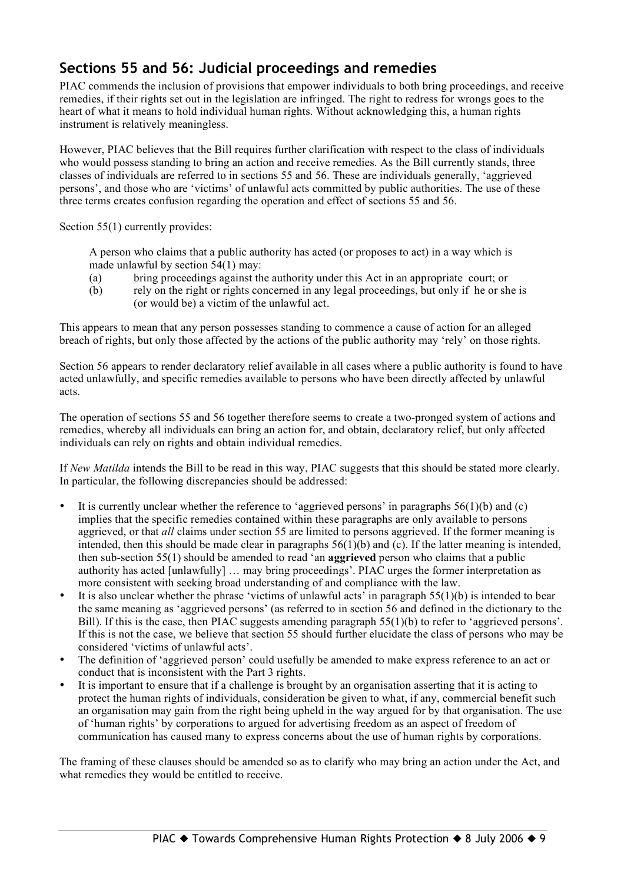## **Sections 55 and 56: Judicial proceedings and remedies**

PIAC commends the inclusion of provisions that empower individuals to both bring proceedings, and receive remedies, if their rights set out in the legislation are infringed. The right to redress for wrongs goes to the heart of what it means to hold individual human rights. Without acknowledging this, a human rights instrument is relatively meaningless.

However, PIAC believes that the Bill requires further clarification with respect to the class of individuals who would possess standing to bring an action and receive remedies. As the Bill currently stands, three classes of individuals are referred to in sections 55 and 56. These are individuals generally, 'aggrieved persons', and those who are 'victims' of unlawful acts committed by public authorities. The use of these three terms creates confusion regarding the operation and effect of sections 55 and 56.

Section 55(1) currently provides:

A person who claims that a public authority has acted (or proposes to act) in a way which is made unlawful by section 54(1) may:

- (a) bring proceedings against the authority under this Act in an appropriate court; or
- (b) rely on the right or rights concerned in any legal proceedings, but only if he or she is (or would be) a victim of the unlawful act.

This appears to mean that any person possesses standing to commence a cause of action for an alleged breach of rights, but only those affected by the actions of the public authority may 'rely' on those rights.

Section 56 appears to render declaratory relief available in all cases where a public authority is found to have acted unlawfully, and specific remedies available to persons who have been directly affected by unlawful acts.

The operation of sections 55 and 56 together therefore seems to create a two-pronged system of actions and remedies, whereby all individuals can bring an action for, and obtain, declaratory relief, but only affected individuals can rely on rights and obtain individual remedies.

If *New Matilda* intends the Bill to be read in this way, PIAC suggests that this should be stated more clearly. In particular, the following discrepancies should be addressed:

- It is currently unclear whether the reference to 'aggrieved persons' in paragraphs  $56(1)(b)$  and (c) implies that the specific remedies contained within these paragraphs are only available to persons aggrieved, or that *all* claims under section 55 are limited to persons aggrieved. If the former meaning is intended, then this should be made clear in paragraphs  $56(1)(b)$  and (c). If the latter meaning is intended, then sub-section 55(1) should be amended to read 'an **aggrieved** person who claims that a public authority has acted [unlawfully] … may bring proceedings'. PIAC urges the former interpretation as more consistent with seeking broad understanding of and compliance with the law.
- It is also unclear whether the phrase 'victims of unlawful acts' in paragraph  $55(1)(b)$  is intended to bear the same meaning as 'aggrieved persons' (as referred to in section 56 and defined in the dictionary to the Bill). If this is the case, then PIAC suggests amending paragraph 55(1)(b) to refer to 'aggrieved persons'. If this is not the case, we believe that section 55 should further elucidate the class of persons who may be considered 'victims of unlawful acts'.
- The definition of 'aggrieved person' could usefully be amended to make express reference to an act or conduct that is inconsistent with the Part 3 rights.
- It is important to ensure that if a challenge is brought by an organisation asserting that it is acting to protect the human rights of individuals, consideration be given to what, if any, commercial benefit such an organisation may gain from the right being upheld in the way argued for by that organisation. The use of 'human rights' by corporations to argued for advertising freedom as an aspect of freedom of communication has caused many to express concerns about the use of human rights by corporations.

The framing of these clauses should be amended so as to clarify who may bring an action under the Act, and what remedies they would be entitled to receive.